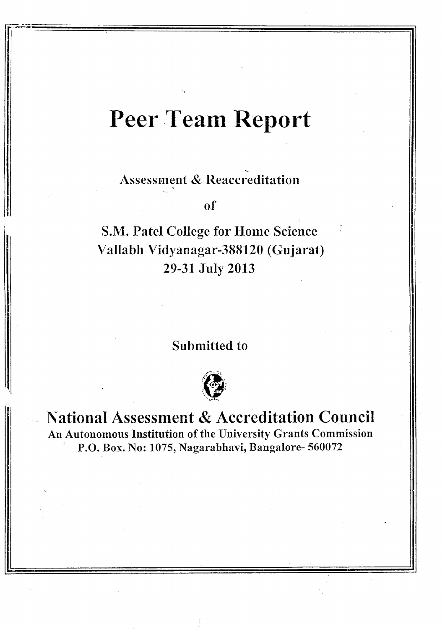## Peer Team Report

Assessment & Reaccreditation

of

S.M. Patel College for Home Science Vallabh Vidyanagar-388120 (Gujarat) 29-31 Julv 2013

Submitted to



National Assessment & Accreditation Council An Autonomous Institution of the University Grants Commission<br>
P.O. Box. No: 1075, Nagarabhavi, Bangalore- 560072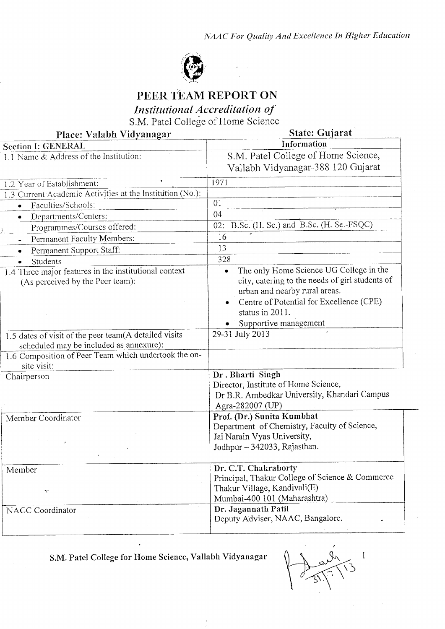

## PEER TEAM REPORT ON

Institutional Accreditation of

S.M. Patel College of Home Science

| Place: Valabh Vidyanagar                                                                         | State: Gujarat                                                                                                                                                                                                      |  |  |
|--------------------------------------------------------------------------------------------------|---------------------------------------------------------------------------------------------------------------------------------------------------------------------------------------------------------------------|--|--|
| <b>Section I: GENERAL</b>                                                                        | Information                                                                                                                                                                                                         |  |  |
| 1.1 Name & Address of the Institution:                                                           | S.M. Patel College of Home Science,<br>Vallabh Vidyanagar-388 120 Gujarat                                                                                                                                           |  |  |
| 1.2 Year of Establishment:                                                                       | 1971                                                                                                                                                                                                                |  |  |
| 1.3 Current Academic Activities at the Institution (No.):                                        |                                                                                                                                                                                                                     |  |  |
| Faculties/Schools:<br>$\bullet$                                                                  | 01                                                                                                                                                                                                                  |  |  |
| Departments/Centers:<br>$\bullet$                                                                | 04                                                                                                                                                                                                                  |  |  |
| Programmes/Courses offered:                                                                      | B.Sc. (H. Sc.) and B.Sc. (H. Se.-FSQC)<br>02:                                                                                                                                                                       |  |  |
| Permanent Faculty Members:                                                                       | 16                                                                                                                                                                                                                  |  |  |
| Permanent Support Staff:<br>٠                                                                    | 13                                                                                                                                                                                                                  |  |  |
| Students                                                                                         | 328                                                                                                                                                                                                                 |  |  |
| 1.4 Three major features in the institutional context<br>(As perceived by the Peer team):        | The only Home Science UG College in the<br>city, catering to the needs of girl students of<br>urban and nearby rural areas.<br>Centre of Potential for Excellence (CPE)<br>status in 2011.<br>Supportive management |  |  |
| 1.5 dates of visit of the peer team(A detailed visits<br>scheduled may be included as annexure): | 29-31 July 2013                                                                                                                                                                                                     |  |  |
| 1.6 Composition of Peer Team which undertook the on-<br>site visit:                              |                                                                                                                                                                                                                     |  |  |
| Chairperson                                                                                      | Dr. Bharti Singh<br>Director, Institute of Home Science,<br>Dr B.R. Ambedkar University, Khandari Campus<br>Agra-282007 (UP)                                                                                        |  |  |
| Member Coordinator<br>ŵ,                                                                         | Prof. (Dr.) Sunita Kumbhat<br>Department of Chemistry, Faculty of Science,<br>Jai Narain Vyas University,<br>Jodhpur - 342033, Rajasthan.                                                                           |  |  |
| Member<br>Æ,                                                                                     | Dr. C.T. Chakraborty<br>Principal, Thakur College of Science & Commerce<br>Thakur Village, Kandivali(E)<br>Mumbai-400 101 (Maharashtra)                                                                             |  |  |
| NACC Coordinator                                                                                 | Dr. Jagannath Patil<br>Deputy Adviser, NAAC, Bangalore.                                                                                                                                                             |  |  |

S.M. Patel College for Home Science, Vallabh Vidyanagar

 $\ddot{\phantom{a}}$ 

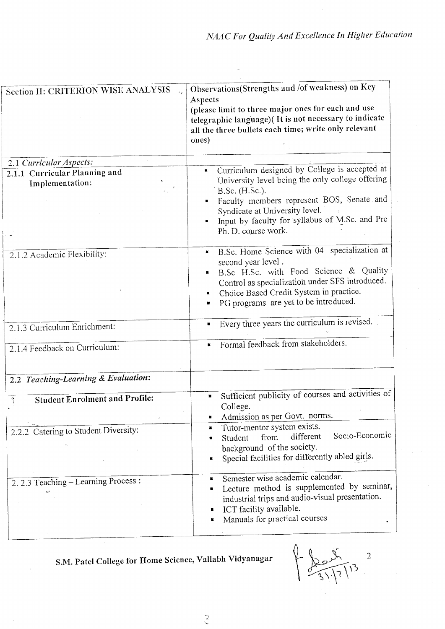| Section II: CRITERION WISE ANALYSIS                                                 | Observations(Strengths and /of weakness) on Key<br>Aspects<br>(please limit to three major ones for each and use<br>telegraphic language)( It is not necessary to indicate<br>all the three bullets each time; write only relevant<br>ones)                                        |  |  |
|-------------------------------------------------------------------------------------|------------------------------------------------------------------------------------------------------------------------------------------------------------------------------------------------------------------------------------------------------------------------------------|--|--|
| 2.1 Curricular Aspects:<br>2.1.1 Curricular Planning and<br>Implementation:         | Curriculum designed by College is accepted at<br>University level being the only college offering<br>B.Sc. (H.Sc.).<br>Faculty members represent BOS, Senate and<br>Syndicate at University level.<br>Input by faculty for syllabus of M.Sc. and Pre<br>Ph. D. course work.        |  |  |
| 2.1.2 Academic Flexibility:                                                         | B.Sc. Home Science with 04 specialization at<br>second year level.<br>B.Sc H.Sc. with Food Science & Quality<br>Control as specialization under SFS introduced.<br>Choice Based Credit System in practice.<br>PG programs are yet to be introduced.                                |  |  |
| 2.1.3 Curriculum Enrichment:                                                        | Every three years the curriculum is revised.<br>ш                                                                                                                                                                                                                                  |  |  |
| 2.1.4 Feedback on Curriculum:                                                       | Formal feedback from stakeholders.<br>×                                                                                                                                                                                                                                            |  |  |
| 2.2 Teaching-Learning & Evaluation:                                                 |                                                                                                                                                                                                                                                                                    |  |  |
| <b>Student Enrolment and Profile:</b><br>2.2.2 Catering to Student Diversity:<br>Ğ. | Sufficient publicity of courses and activities of<br>$\blacksquare$<br>College.<br>Admission as per Govt. norms.<br>Tutor-mentor system exists.<br>Socio-Economic<br>different<br>from<br>Student<br>background of the society.<br>Special facilities for differently abled girls. |  |  |
| 2.2.3 Teaching - Learning Process:                                                  | Semester wise academic calendar.<br>Lecture method is supplemented by seminar,<br>industrial trips and audio-visual presentation.<br>ICT facility available.<br>Manuals for practical courses                                                                                      |  |  |

S.M. Patel College for Home Science, Vallabh Vidyanagar

 $\overline{\phantom{a}}$  $\sqrt{13}$  $\widetilde{Z}$ 

 $\frac{1}{2}$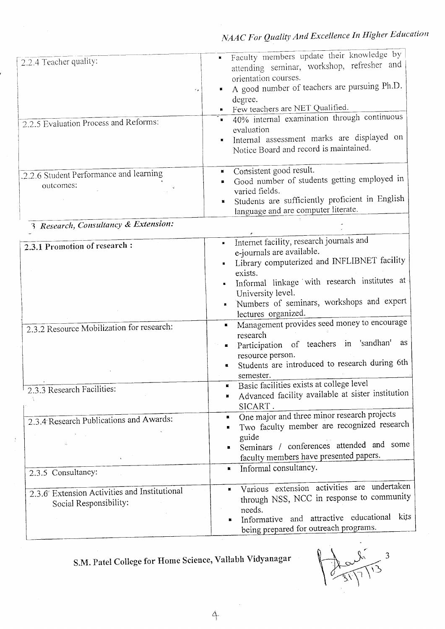|                                              | Faculty members update their knowledge by                                   |
|----------------------------------------------|-----------------------------------------------------------------------------|
| 2.2.4 Teacher quality:                       | attending seminar, workshop, refresher and                                  |
|                                              | orientation courses.                                                        |
| ٠.                                           | A good number of teachers are pursuing Ph.D.<br>u                           |
|                                              | degree.                                                                     |
|                                              | Few teachers are NET Qualified.                                             |
| 2.2.5 Evaluation Process and Reforms:        | 40% internal examination through continuous                                 |
|                                              | evaluation                                                                  |
|                                              | Internal assessment marks are displayed on<br>$\blacksquare$                |
|                                              | Notice Board and record is maintained.                                      |
|                                              |                                                                             |
| 2.2.6 Student Performance and learning       | Consistent good result.<br>к<br>Good number of students getting employed in |
| outcomes:                                    | varied fields.                                                              |
|                                              | Students are sufficiently proficient in English                             |
|                                              | language and are computer literate.                                         |
| 3 Research, Consultancy & Extension:         |                                                                             |
|                                              |                                                                             |
| 2.3.1 Promotion of research :                | Internet facility, research journals and<br>$\blacksquare$                  |
|                                              | e-journals are available.                                                   |
|                                              | Library computerized and INFLIBNET facility<br>exists.                      |
|                                              | Informal linkage with research institutes at                                |
|                                              | University level.                                                           |
|                                              | Numbers of seminars, workshops and expert                                   |
|                                              | lectures organized.                                                         |
| 2.3.2 Resource Mobilization for research:    | Management provides seed money to encourage<br>ш                            |
|                                              | research                                                                    |
|                                              | Participation of teachers in 'sandhan'<br>as<br>$\blacksquare$              |
|                                              | resource person.<br>Students are introduced to research during 6th          |
|                                              | $\blacksquare$<br>semester.                                                 |
|                                              | Basic facilities exists at college level                                    |
| 2.3.3 Research Facilities:                   | Advanced facility available at sister institution<br>×                      |
|                                              | SICART.                                                                     |
| 2.3.4 Research Publications and Awards:      | One major and three minor research projects<br>$\blacksquare$               |
|                                              | Two faculty member are recognized research                                  |
|                                              | guide                                                                       |
|                                              | Seminars / conferences attended and some                                    |
| $\mathcal{L}^{\pm}$                          | faculty members have presented papers.                                      |
| 2.3.5 Consultancy:                           | Informal consultancy.<br>$\blacksquare$                                     |
|                                              | Various extension activities are undertaken                                 |
| 2.3.6 Extension Activities and Institutional | through NSS, NCC in response to community                                   |
| Social Responsibility:                       | needs.                                                                      |
|                                              | Informative and attractive educational kits                                 |
|                                              | being prepared for outreach programs.                                       |

S.M. Patel College for Home Science, Vallabh Vidyanagar

 $\overline{\mathbf{3}}$ 

4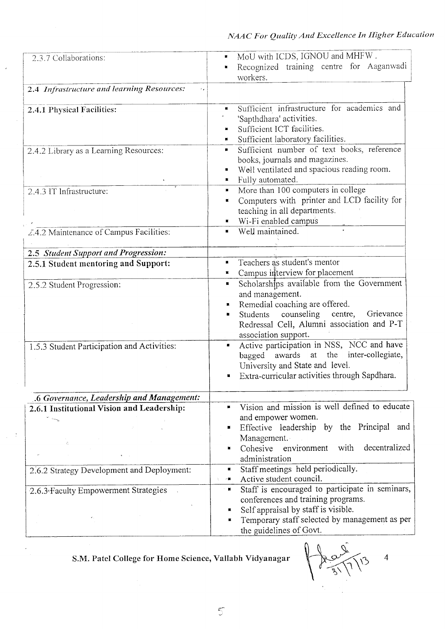| 2.3.7 Collaborations:                                      | MoU with ICDS, IGNOU and MHFW.<br>ш<br>Recognized training centre for Aaganwadi<br>$\blacksquare$<br>workers.                                                                                                                            |  |  |
|------------------------------------------------------------|------------------------------------------------------------------------------------------------------------------------------------------------------------------------------------------------------------------------------------------|--|--|
| 2.4 Infrastructure and learning Resources:<br>$\epsilon$ . |                                                                                                                                                                                                                                          |  |  |
| 2.4.1 Physical Facilities:                                 | Sufficient infrastructure for academics and<br>'Sapthdhara' activities.<br>Sufficient ICT facilities.<br>Sufficient laboratory facilities.                                                                                               |  |  |
| 2.4.2 Library as a Learning Resources:                     | Sufficient number of text books, reference<br>п<br>books, journals and magazines.<br>Well ventilated and spacious reading room.<br>Fully automated.<br>ш                                                                                 |  |  |
| 2.4.3 IT Infrastructure:                                   | More than 100 computers in college<br>ш<br>Computers with printer and LCD facility for<br>$\blacksquare$<br>teaching in all departments.<br>Wi-Fi enabled campus                                                                         |  |  |
| Z.4.2 Maintenance of Campus Facilities:                    | Well maintained.                                                                                                                                                                                                                         |  |  |
| 2.5 Student Support and Progression:                       |                                                                                                                                                                                                                                          |  |  |
| 2.5.1 Student mentoring and Support:                       | Teachers as student's mentor<br>Campus interview for placement                                                                                                                                                                           |  |  |
| 2.5.2 Student Progression:                                 | Scholarships available from the Government<br>$\blacksquare$<br>and management.<br>Remedial coaching are offered.<br>Students counseling centre,<br>Grievance<br>۰<br>Redressal Cell, Alumni association and P-T<br>association support. |  |  |
| 1.5.3 Student Participation and Activities:                | Active participation in NSS, NCC and have<br>$\blacksquare$<br>bagged awards at the inter-collegiate,<br>University and State and level.<br>Extra-curricular activities through Sapdhara.<br>×                                           |  |  |
| .6 Governance, Leadership and Management:                  |                                                                                                                                                                                                                                          |  |  |
| 2.6.1 Institutional Vision and Leadership:<br>t any<br>Ĝ.  | Vision and mission is well defined to educate<br>and empower women.<br>Effective leadership by the Principal<br>and<br>Management.<br>decentralized<br>with<br>Cohesive<br>environment<br>н<br>administration                            |  |  |
| 2.6.2 Strategy Development and Deployment:                 | Staff meetings held periodically.<br>ш<br>Active student council.<br>-∎                                                                                                                                                                  |  |  |
| 2.6.3 Faculty Empowerment Strategies                       | Staff is encouraged to participate in seminars,<br>к<br>conferences and training programs.<br>Self appraisal by staff is visible.<br>$\blacksquare$<br>Temporary staff selected by management as per<br>the guidelines of Govt.          |  |  |

 $\ddot{\phantom{0}}$ 

 $\frac{1}{2}$  =  $\frac{1}{2}$ 

S.M. Patel College for Home Science, Vallabh Vidyanagar

 $\overline{4}$  $\tilde{O}$ 

 $\overline{5}$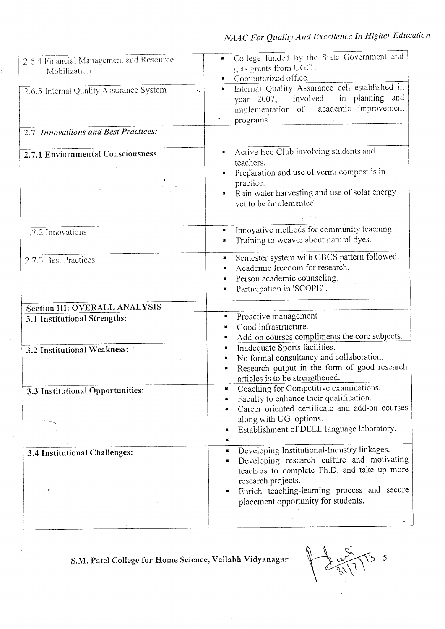| 2.6.4 Financial Management and Resource<br>Mobilization:<br>2.6.5 Internal Quality Assurance System<br>٠,<br>2.7 Innovatiions and Best Practices: | College funded by the State Government and<br>gets grants from UGC.<br>Computerized office.<br>Internal Quality Assurance cell established in<br>$\blacksquare$<br>in planning and<br>year 2007, involved<br>implementation of academic improvement<br>programs. |  |  |
|---------------------------------------------------------------------------------------------------------------------------------------------------|------------------------------------------------------------------------------------------------------------------------------------------------------------------------------------------------------------------------------------------------------------------|--|--|
|                                                                                                                                                   |                                                                                                                                                                                                                                                                  |  |  |
| 2.7.1 Enviornmental Consciousness                                                                                                                 | Active Eco Club involving students and<br>teachers.<br>Preparation and use of vermi compost is in<br>practice.<br>Rain water harvesting and use of solar energy<br>yet to be implemented.                                                                        |  |  |
| z.7.2 Innovations                                                                                                                                 | Innovative methods for community teaching<br>Training to weaver about natural dyes.                                                                                                                                                                              |  |  |
| 2.7.3 Best Practices                                                                                                                              | Semester system with CBCS pattern followed.<br>×<br>Academic freedom for research.<br>Person academic counseling.<br>Participation in 'SCOPE'.                                                                                                                   |  |  |
| Section III: OVERALL ANALYSIS                                                                                                                     |                                                                                                                                                                                                                                                                  |  |  |
| 3.1 Institutional Strengths:                                                                                                                      | Proactive management<br>ш<br>Good infrastructure.<br>Add-on courses compliments the core subjects.                                                                                                                                                               |  |  |
| 3.2 Institutional Weakness:                                                                                                                       | Inadequate Sports facilities.<br>ĸ<br>No formal consultancy and collaboration.<br>٠<br>Research output in the form of good research<br>$\blacksquare$<br>articles is to be strengthened.                                                                         |  |  |
| 3.3 Institutional Opportunities:                                                                                                                  | Coaching for Competitive examinations.<br>Faculty to enhance their qualification.<br>Career oriented certificate and add-on courses<br>along with UG options.<br>Establishment of DELL language laboratory.<br>$\blacksquare$                                    |  |  |
| 3.4 Institutional Challenges:                                                                                                                     | Developing Institutional-Industry linkages.<br>п<br>Developing research culture and motivating<br>٠<br>teachers to complete Ph.D. and take up more<br>research projects.<br>Enrich teaching-learning process and secure<br>placement opportunity for students.   |  |  |

S.M. Patel College for Home Science, Vallabh Vidyanagar

 $\sqrt{3}$  5